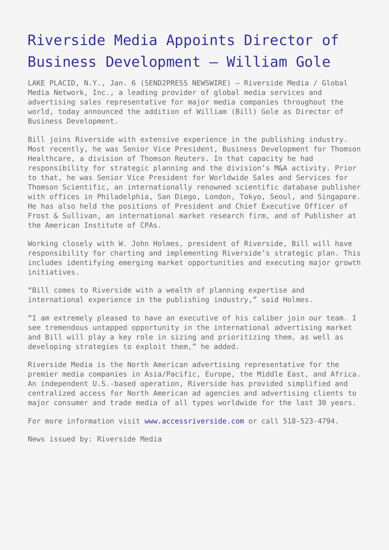## [Riverside Media Appoints Director of](https://www.send2press.com/wire/2010-01-0106-007/) [Business Development – William Gole](https://www.send2press.com/wire/2010-01-0106-007/)

LAKE PLACID, N.Y., Jan. 6 (SEND2PRESS NEWSWIRE) — Riverside Media / Global Media Network, Inc., a leading provider of global media services and advertising sales representative for major media companies throughout the world, today announced the addition of William (Bill) Gole as Director of Business Development.

Bill joins Riverside with extensive experience in the publishing industry. Most recently, he was Senior Vice President, Business Development for Thomson Healthcare, a division of Thomson Reuters. In that capacity he had responsibility for strategic planning and the division's M&A activity. Prior to that, he was Senior Vice President for Worldwide Sales and Services for Thomson Scientific, an internationally renowned scientific database publisher with offices in Philadelphia, San Diego, London, Tokyo, Seoul, and Singapore. He has also held the positions of President and Chief Executive Officer of Frost & Sullivan, an international market research firm, and of Publisher at the American Institute of CPAs.

Working closely with W. John Holmes, president of Riverside, Bill will have responsibility for charting and implementing Riverside's strategic plan. This includes identifying emerging market opportunities and executing major growth initiatives.

"Bill comes to Riverside with a wealth of planning expertise and international experience in the publishing industry," said Holmes.

"I am extremely pleased to have an executive of his caliber join our team. I see tremendous untapped opportunity in the international advertising market and Bill will play a key role in sizing and prioritizing them, as well as developing strategies to exploit them," he added.

Riverside Media is the North American advertising representative for the premier media companies in Asia/Pacific, Europe, the Middle East, and Africa. An independent U.S.-based operation, Riverside has provided simplified and centralized access for North American ad agencies and advertising clients to major consumer and trade media of all types worldwide for the last 30 years.

For more information visit [www.accessriverside.com](http://www.accessriverside.com) or call 518-523-4794.

News issued by: Riverside Media